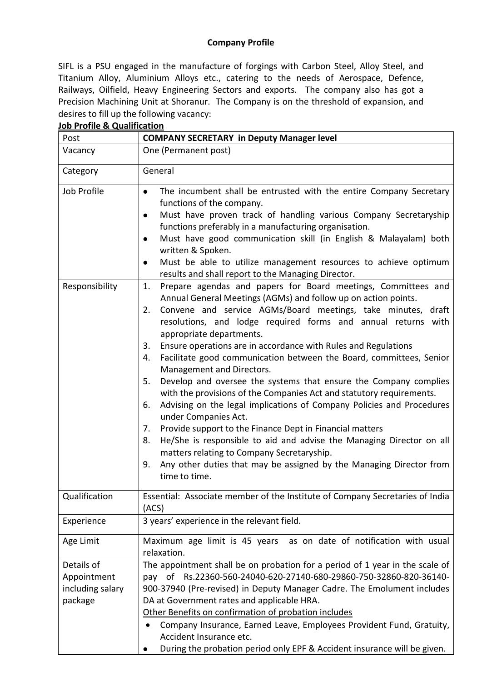## **Company Profile**

SIFL is a PSU engaged in the manufacture of forgings with Carbon Steel, Alloy Steel, and Titanium Alloy, Aluminium Alloys etc., catering to the needs of Aerospace, Defence, Railways, Oilfield, Heavy Engineering Sectors and exports. The company also has got a Precision Machining Unit at Shoranur. The Company is on the threshold of expansion, and desires to fill up the following vacancy:

| Post             | <b>COMPANY SECRETARY in Deputy Manager level</b>                                                                                                                                                                                                                                                                                                                                                                                                                                                                                                                                                                                                                                                                                                                                                                                                                                                                                                                                                                                                |
|------------------|-------------------------------------------------------------------------------------------------------------------------------------------------------------------------------------------------------------------------------------------------------------------------------------------------------------------------------------------------------------------------------------------------------------------------------------------------------------------------------------------------------------------------------------------------------------------------------------------------------------------------------------------------------------------------------------------------------------------------------------------------------------------------------------------------------------------------------------------------------------------------------------------------------------------------------------------------------------------------------------------------------------------------------------------------|
| Vacancy          | One (Permanent post)                                                                                                                                                                                                                                                                                                                                                                                                                                                                                                                                                                                                                                                                                                                                                                                                                                                                                                                                                                                                                            |
| Category         | General                                                                                                                                                                                                                                                                                                                                                                                                                                                                                                                                                                                                                                                                                                                                                                                                                                                                                                                                                                                                                                         |
| Job Profile      | The incumbent shall be entrusted with the entire Company Secretary<br>$\bullet$<br>functions of the company.<br>Must have proven track of handling various Company Secretaryship<br>$\bullet$<br>functions preferably in a manufacturing organisation.<br>Must have good communication skill (in English & Malayalam) both<br>$\bullet$<br>written & Spoken.<br>Must be able to utilize management resources to achieve optimum<br>results and shall report to the Managing Director.                                                                                                                                                                                                                                                                                                                                                                                                                                                                                                                                                           |
| Responsibility   | Prepare agendas and papers for Board meetings, Committees and<br>1.<br>Annual General Meetings (AGMs) and follow up on action points.<br>Convene and service AGMs/Board meetings, take minutes, draft<br>2.<br>resolutions, and lodge required forms and annual returns with<br>appropriate departments.<br>Ensure operations are in accordance with Rules and Regulations<br>3.<br>Facilitate good communication between the Board, committees, Senior<br>4.<br>Management and Directors.<br>Develop and oversee the systems that ensure the Company complies<br>5.<br>with the provisions of the Companies Act and statutory requirements.<br>Advising on the legal implications of Company Policies and Procedures<br>6.<br>under Companies Act.<br>Provide support to the Finance Dept in Financial matters<br>7.<br>He/She is responsible to aid and advise the Managing Director on all<br>8.<br>matters relating to Company Secretaryship.<br>Any other duties that may be assigned by the Managing Director from<br>9.<br>time to time. |
| Qualification    | Essential: Associate member of the Institute of Company Secretaries of India<br>(ACS)                                                                                                                                                                                                                                                                                                                                                                                                                                                                                                                                                                                                                                                                                                                                                                                                                                                                                                                                                           |
| Experience       | 3 years' experience in the relevant field.                                                                                                                                                                                                                                                                                                                                                                                                                                                                                                                                                                                                                                                                                                                                                                                                                                                                                                                                                                                                      |
| Age Limit        | Maximum age limit is 45 years as on date of notification with usual<br>relaxation.                                                                                                                                                                                                                                                                                                                                                                                                                                                                                                                                                                                                                                                                                                                                                                                                                                                                                                                                                              |
| Details of       | The appointment shall be on probation for a period of 1 year in the scale of                                                                                                                                                                                                                                                                                                                                                                                                                                                                                                                                                                                                                                                                                                                                                                                                                                                                                                                                                                    |
| Appointment      | pay of Rs.22360-560-24040-620-27140-680-29860-750-32860-820-36140-                                                                                                                                                                                                                                                                                                                                                                                                                                                                                                                                                                                                                                                                                                                                                                                                                                                                                                                                                                              |
| including salary | 900-37940 (Pre-revised) in Deputy Manager Cadre. The Emolument includes                                                                                                                                                                                                                                                                                                                                                                                                                                                                                                                                                                                                                                                                                                                                                                                                                                                                                                                                                                         |
| package          | DA at Government rates and applicable HRA.                                                                                                                                                                                                                                                                                                                                                                                                                                                                                                                                                                                                                                                                                                                                                                                                                                                                                                                                                                                                      |
|                  | Other Benefits on confirmation of probation includes                                                                                                                                                                                                                                                                                                                                                                                                                                                                                                                                                                                                                                                                                                                                                                                                                                                                                                                                                                                            |
|                  | Company Insurance, Earned Leave, Employees Provident Fund, Gratuity,<br>Accident Insurance etc.                                                                                                                                                                                                                                                                                                                                                                                                                                                                                                                                                                                                                                                                                                                                                                                                                                                                                                                                                 |
|                  | During the probation period only EPF & Accident insurance will be given.                                                                                                                                                                                                                                                                                                                                                                                                                                                                                                                                                                                                                                                                                                                                                                                                                                                                                                                                                                        |

## **Job Profile & Qualification**